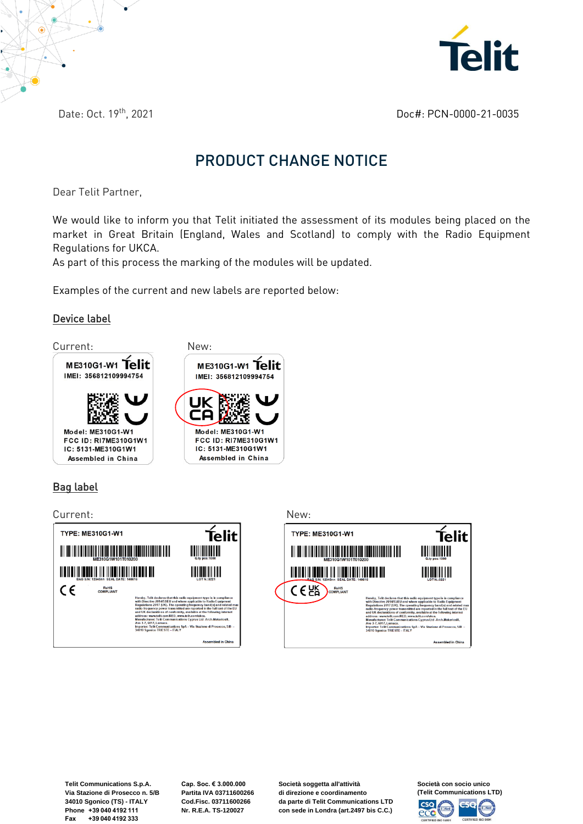

Date: Oct. 19th, 2021

Doc#: PCN-0000-21-0035

## PRODUCT CHANGE NOTICE

Dear Telit Partner,

We would like to inform you that Telit initiated the assessment of its modules being placed on the market in Great Britain (England, Wales and Scotland) to comply with the Radio Equipment Regulations for UKCA.

As part of this process the marking of the modules will be updated.

Examples of the current and new labels are reported below:

## Device label



## Bag label

Current: New:





**Telit Communications S.p.A. Via Stazione di Prosecco n. 5/B 34010 Sgonico (TS) - ITALY Phone +39 040 4192 111 Fax +39 040 4192 333**

**Cap. Soc. € 3.000.000 Partita IVA 03711600266 Cod.Fisc. 03711600266 Nr. R.E.A. TS-120027**

**Società soggetta all'attività di direzione e coordinamento da parte di Telit Communications LTD con sede in Londra (art.2497 bis C.C.)**

**Società con socio unico (Telit Communications LTD)**